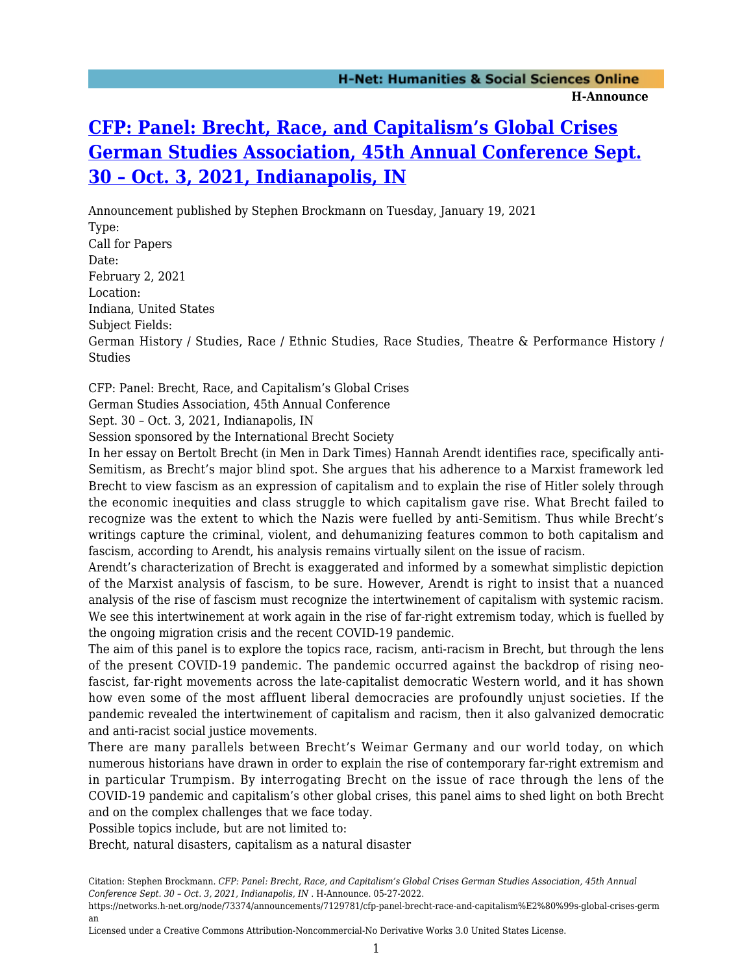## **[CFP: Panel: Brecht, Race, and Capitalism's Global Crises](https://networks.h-net.org/node/73374/announcements/7129781/cfp-panel-brecht-race-and-capitalism%E2%80%99s-global-crises-german) [German Studies Association, 45th Annual Conference Sept.](https://networks.h-net.org/node/73374/announcements/7129781/cfp-panel-brecht-race-and-capitalism%E2%80%99s-global-crises-german) [30 – Oct. 3, 2021, Indianapolis, IN](https://networks.h-net.org/node/73374/announcements/7129781/cfp-panel-brecht-race-and-capitalism%E2%80%99s-global-crises-german)**

Announcement published by Stephen Brockmann on Tuesday, January 19, 2021 Type: Call for Papers Date: February 2, 2021 Location: Indiana, United States Subject Fields: German History / Studies, Race / Ethnic Studies, Race Studies, Theatre & Performance History / **Studies** 

CFP: Panel: Brecht, Race, and Capitalism's Global Crises

German Studies Association, 45th Annual Conference

Sept. 30 – Oct. 3, 2021, Indianapolis, IN

Session sponsored by the International Brecht Society

In her essay on Bertolt Brecht (in Men in Dark Times) Hannah Arendt identifies race, specifically anti-Semitism, as Brecht's major blind spot. She argues that his adherence to a Marxist framework led Brecht to view fascism as an expression of capitalism and to explain the rise of Hitler solely through the economic inequities and class struggle to which capitalism gave rise. What Brecht failed to recognize was the extent to which the Nazis were fuelled by anti-Semitism. Thus while Brecht's writings capture the criminal, violent, and dehumanizing features common to both capitalism and fascism, according to Arendt, his analysis remains virtually silent on the issue of racism.

Arendt's characterization of Brecht is exaggerated and informed by a somewhat simplistic depiction of the Marxist analysis of fascism, to be sure. However, Arendt is right to insist that a nuanced analysis of the rise of fascism must recognize the intertwinement of capitalism with systemic racism. We see this intertwinement at work again in the rise of far-right extremism today, which is fuelled by the ongoing migration crisis and the recent COVID-19 pandemic.

The aim of this panel is to explore the topics race, racism, anti-racism in Brecht, but through the lens of the present COVID-19 pandemic. The pandemic occurred against the backdrop of rising neofascist, far-right movements across the late-capitalist democratic Western world, and it has shown how even some of the most affluent liberal democracies are profoundly unjust societies. If the pandemic revealed the intertwinement of capitalism and racism, then it also galvanized democratic and anti-racist social justice movements.

There are many parallels between Brecht's Weimar Germany and our world today, on which numerous historians have drawn in order to explain the rise of contemporary far-right extremism and in particular Trumpism. By interrogating Brecht on the issue of race through the lens of the COVID-19 pandemic and capitalism's other global crises, this panel aims to shed light on both Brecht and on the complex challenges that we face today.

Possible topics include, but are not limited to:

Brecht, natural disasters, capitalism as a natural disaster

Citation: Stephen Brockmann. *CFP: Panel: Brecht, Race, and Capitalism's Global Crises German Studies Association, 45th Annual Conference Sept. 30 – Oct. 3, 2021, Indianapolis, IN* . H-Announce. 05-27-2022.

https://networks.h-net.org/node/73374/announcements/7129781/cfp-panel-brecht-race-and-capitalism%E2%80%99s-global-crises-germ an

Licensed under a Creative Commons Attribution-Noncommercial-No Derivative Works 3.0 United States License.